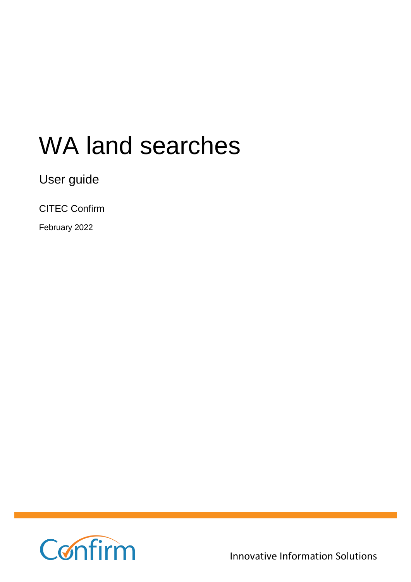# WA land searches

User guide

CITEC Confirm

February 2022



Innovative Information Solutions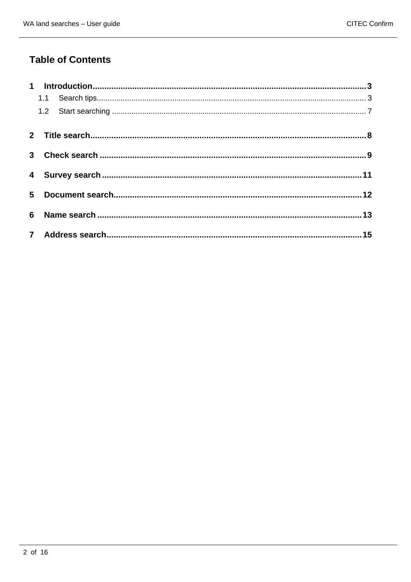### **Table of Contents**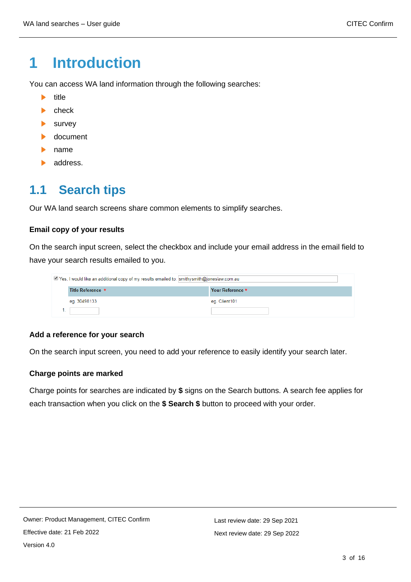# <span id="page-2-0"></span>**1 Introduction**

You can access WA land information through the following searches:

- $\mathbf{E}$ title
- $\blacktriangleright$  check
- $\blacktriangleright$  survey
- **b** document
- **No.** name
- **address.**

### <span id="page-2-1"></span>**1.1 Search tips**

Our WA land search screens share common elements to simplify searches.

#### **Email copy of your results**

On the search input screen, select the checkbox and include your email address in the email field to have your search results emailed to you.

| Yes, I would like an additional copy of my results emailed to: smithysmith@joneslaw.com.au |                   |                  |  |  |
|--------------------------------------------------------------------------------------------|-------------------|------------------|--|--|
|                                                                                            | Title Reference * | Your Reference * |  |  |
|                                                                                            | eg. 30498133      | eq. Client101    |  |  |
|                                                                                            |                   |                  |  |  |

### **Add a reference for your search**

On the search input screen, you need to add your reference to easily identify your search later.

### **Charge points are marked**

Charge points for searches are indicated by **\$** signs on the Search buttons. A search fee applies for each transaction when you click on the **\$ Search \$** button to proceed with your order.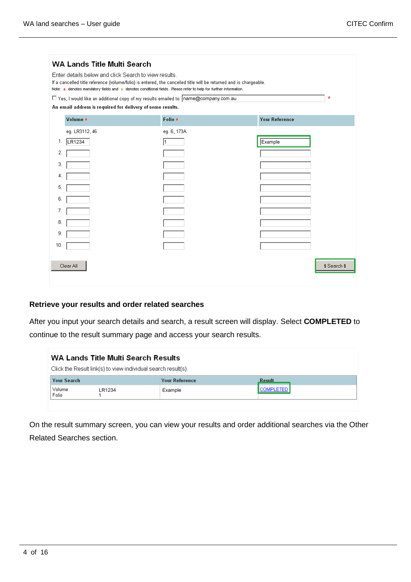| WA Lands Title Multi Search<br>Enter details below and click Search to view results.<br>If a cancelled title reference (volume/folio) is entered, the cancelled title will be returned and is chargeable.<br>Note: * denotes mandatory fields and * denotes conditional fields. Please refer to help for further information.<br>$\pmb{\star}$<br>□ Yes, I would like an additional copy of my results emailed to: name@company.com.au<br>An email address is required for delivery of some results. |                |             |                       |              |  |
|------------------------------------------------------------------------------------------------------------------------------------------------------------------------------------------------------------------------------------------------------------------------------------------------------------------------------------------------------------------------------------------------------------------------------------------------------------------------------------------------------|----------------|-------------|-----------------------|--------------|--|
|                                                                                                                                                                                                                                                                                                                                                                                                                                                                                                      | Volume *       | Folio *     | <b>Your Reference</b> |              |  |
|                                                                                                                                                                                                                                                                                                                                                                                                                                                                                                      | eg. LR3112, 46 | eg. 6, 173A |                       |              |  |
| 1.                                                                                                                                                                                                                                                                                                                                                                                                                                                                                                   | LR1234         |             | Example               |              |  |
| 2.                                                                                                                                                                                                                                                                                                                                                                                                                                                                                                   |                |             |                       |              |  |
| 3.                                                                                                                                                                                                                                                                                                                                                                                                                                                                                                   |                |             |                       |              |  |
| 4.                                                                                                                                                                                                                                                                                                                                                                                                                                                                                                   |                |             |                       |              |  |
| 5.                                                                                                                                                                                                                                                                                                                                                                                                                                                                                                   |                |             |                       |              |  |
| 6.                                                                                                                                                                                                                                                                                                                                                                                                                                                                                                   |                |             |                       |              |  |
| 7.                                                                                                                                                                                                                                                                                                                                                                                                                                                                                                   |                |             |                       |              |  |
| 8.                                                                                                                                                                                                                                                                                                                                                                                                                                                                                                   |                |             |                       |              |  |
| 9.                                                                                                                                                                                                                                                                                                                                                                                                                                                                                                   |                |             |                       |              |  |
| 10.                                                                                                                                                                                                                                                                                                                                                                                                                                                                                                  |                |             |                       |              |  |
|                                                                                                                                                                                                                                                                                                                                                                                                                                                                                                      | Clear All      |             |                       | \$ Search \$ |  |

### **Retrieve your results and order related searches**

After you input your search details and search, a result screen will display. Select **COMPLETED** to continue to the result summary page and access your search results.

| WA Lands Title Multi Search Results<br>Click the Result link(s) to view individual search result(s). |        |                       |                  |  |  |  |
|------------------------------------------------------------------------------------------------------|--------|-----------------------|------------------|--|--|--|
| <b>Your Search</b>                                                                                   |        | <b>Your Reference</b> | Result           |  |  |  |
| Volume<br>Folio                                                                                      | LR1234 | Example               | <b>COMPLETED</b> |  |  |  |
|                                                                                                      |        |                       |                  |  |  |  |

On the result summary screen, you can view your results and order additional searches via the Other Related Searches section.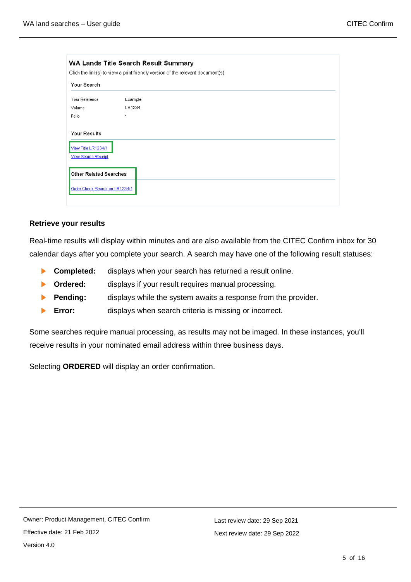| Your Search                                       |         |  |  |
|---------------------------------------------------|---------|--|--|
| Your Reference                                    | Example |  |  |
| Volume                                            | LR1234  |  |  |
| Folio                                             | 1       |  |  |
| View Title LR1234/1<br><b>View Search Receipt</b> |         |  |  |
| <b>Other Related Searches</b>                     |         |  |  |

#### **Retrieve your results**

Real-time results will display within minutes and are also available from the CITEC Confirm inbox for 30 calendar days after you complete your search. A search may have one of the following result statuses:

- **Completed:** displays when your search has returned a result online.
- **Crdered:** displays if your result requires manual processing.
- **Pending:** displays while the system awaits a response from the provider.  $\blacktriangleright$
- **Error:** displays when search criteria is missing or incorrect.  $\mathbf{E}$  .

Some searches require manual processing, as results may not be imaged. In these instances, you'll receive results in your nominated email address within three business days.

Selecting **ORDERED** will display an order confirmation.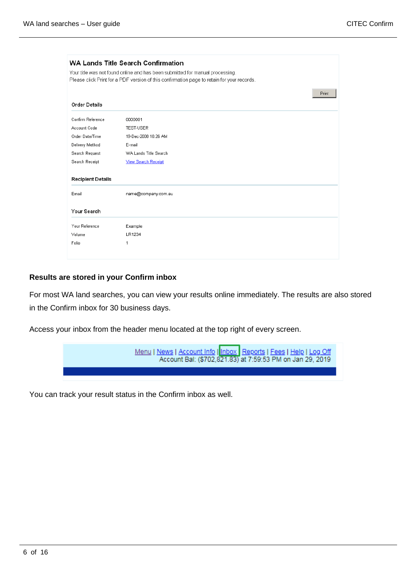|                           | Your title was not found online and has been submitted for manual processing.<br>Please click Print for a PDF version of this confirmation page to retain for your records. |  |
|---------------------------|-----------------------------------------------------------------------------------------------------------------------------------------------------------------------------|--|
|                           | Print                                                                                                                                                                       |  |
| <b>Order Details</b>      |                                                                                                                                                                             |  |
| Confirm Reference         | 0000001                                                                                                                                                                     |  |
| Account Code              | <b>TEST-USER</b>                                                                                                                                                            |  |
| Order Date/Time           | 19-Dec-2008 10:26 AM                                                                                                                                                        |  |
| E-mail<br>Delivery Method |                                                                                                                                                                             |  |
| Search Request            | WA Lands Title Search                                                                                                                                                       |  |
| Search Receipt            | <b>View Search Receipt</b>                                                                                                                                                  |  |
| <b>Recipient Details</b>  |                                                                                                                                                                             |  |
| Email                     | name@company.com.au                                                                                                                                                         |  |
| Your Search               |                                                                                                                                                                             |  |
| Your Reference            | Example                                                                                                                                                                     |  |
| Volume                    | LR1234                                                                                                                                                                      |  |
| Folio                     | 1                                                                                                                                                                           |  |

### **Results are stored in your Confirm inbox**

For most WA land searches, you can view your results online immediately. The results are also stored in the Confirm inbox for 30 business days.

Access your inbox from the header menu located at the top right of every screen.



You can track your result status in the Confirm inbox as well.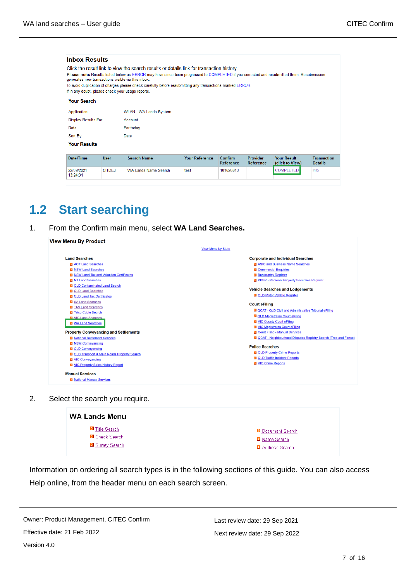| <b>Inbox Results</b>                                                                                    |             |                                                                                                                                                                                                                                                                                                                                                      |                       |                             |                       |                                       |                                      |
|---------------------------------------------------------------------------------------------------------|-------------|------------------------------------------------------------------------------------------------------------------------------------------------------------------------------------------------------------------------------------------------------------------------------------------------------------------------------------------------------|-----------------------|-----------------------------|-----------------------|---------------------------------------|--------------------------------------|
| generates new transactions visible via this inbox.<br>If in any doubt, please check your usage reports. |             | Click the result link to view the search results or details link for transaction history.<br>Please note: Results listed below as ERROR may have since been progressed to COMPLETED if you corrected and resubmitted them. Resubmission<br>To avoid duplication of charges please check carefully before resubmitting any transactions marked ERROR. |                       |                             |                       |                                       |                                      |
| <b>Your Search</b>                                                                                      |             |                                                                                                                                                                                                                                                                                                                                                      |                       |                             |                       |                                       |                                      |
| Application                                                                                             |             | WLAN - WA Lands System                                                                                                                                                                                                                                                                                                                               |                       |                             |                       |                                       |                                      |
| Display Results For                                                                                     |             | Account                                                                                                                                                                                                                                                                                                                                              |                       |                             |                       |                                       |                                      |
| Date                                                                                                    |             | For today                                                                                                                                                                                                                                                                                                                                            |                       |                             |                       |                                       |                                      |
| Sort By                                                                                                 |             | Date                                                                                                                                                                                                                                                                                                                                                 |                       |                             |                       |                                       |                                      |
| <b>Your Results</b>                                                                                     |             |                                                                                                                                                                                                                                                                                                                                                      |                       |                             |                       |                                       |                                      |
| Date/Time                                                                                               | <b>User</b> | <b>Search Name</b>                                                                                                                                                                                                                                                                                                                                   | <b>Your Reference</b> | Confirm<br><b>Reference</b> | Provider<br>Reference | <b>Your Result</b><br>(click to View) | <b>Transaction</b><br><b>Details</b> |
| 22/09/2021<br>13:24:31                                                                                  | CITIZEJ     | <b>WA Lands Name Search</b>                                                                                                                                                                                                                                                                                                                          | test                  | 101626843                   |                       | <b>COMPLETED</b>                      | Info                                 |

### <span id="page-6-0"></span>**1.2 Start searching**

 $\overline{a}$ 

 $\overline{a}$ 

 $\sim$ 

1. From the Confirm main menu, select **WA Land Searches.**

|                                                      | <b>View Menu by State</b>                                        |
|------------------------------------------------------|------------------------------------------------------------------|
| <b>Land Searches</b>                                 | <b>Corporate and Individual Searches</b>                         |
| ACT Land Searches                                    | ASIC and Business Name Searches                                  |
| <b>NSW Land Searches</b>                             | <b>D</b> Commercial Enquiries                                    |
| <b>El NSW Land Tax and Valuation Certificates</b>    | <b>El Bankruptcy Register</b>                                    |
| <b>El</b> NT Land Searches                           | PPSR - Personal Property Securities Register                     |
| <b>DI QLD Contaminated Land Search</b>               |                                                                  |
| <b>D</b> QLD Land Searches                           | <b>Vehicle Searches and Lodgements</b>                           |
| <b>D</b> QLD Land Tax Certificates                   | <b>D</b> QLD Motor Vehicle Register                              |
| <b>El</b> SA Land Searches                           |                                                                  |
| <b>El</b> TAS Land Searches                          | <b>Court eFiling</b>                                             |
| <b>El</b> Telco Cable Search                         | <b>D</b> QCAT - QLD Civil and Administrative Tribunal eFiling    |
| <b>El</b> VIC Land Searches                          | <b>D</b> QLD Magistrates Court eFiling                           |
| <b>N</b> WA Land Searches                            | <b>El</b> VIC County Court eFiling                               |
|                                                      | <b>D</b> VIC Magistrates Court eFiling                           |
| <b>Property Conveyancing and Settlements</b>         | <b>D</b> Court Filing - Manual Services                          |
| <b>El</b> National Settlement Services               | 2 QCAT - Neighbourhood Disputes Registry Search (Tree and Fence) |
| <b>El</b> NSW Conveyancing                           |                                                                  |
| <b>D</b> QLD Conveyancing                            | <b>Police Searches</b>                                           |
| <b>El</b> QLD Transport & Main Roads Property Search | <b>D</b> QLD Property Crime Reports                              |
| <b>El</b> VIC Conveyancing                           | <b>D</b> QLD Traffic Incident Reports                            |
| <b>D</b> VIC Property Sales History Report           | <b>El</b> VIC Crime Reports                                      |
| <b>Manual Services</b>                               |                                                                  |
| <b>El</b> National Manual Services                   |                                                                  |

2. Select the search you require.

| <b>WA Lands Menu</b>    |                 |  |  |  |
|-------------------------|-----------------|--|--|--|
| Title Search            | Document Search |  |  |  |
| <b>D</b> Check Search   | Mame Search     |  |  |  |
| <b>El</b> Survey Search | Address Search  |  |  |  |

Information on ordering all search types is in the following sections of this guide. You can also access Help online, from the header menu on each search screen.

Owner: Product Management, CITEC Confirm Effective date: 21 Feb 2022

Last review date: 29 Sep 2021 Next review date: 29 Sep 2022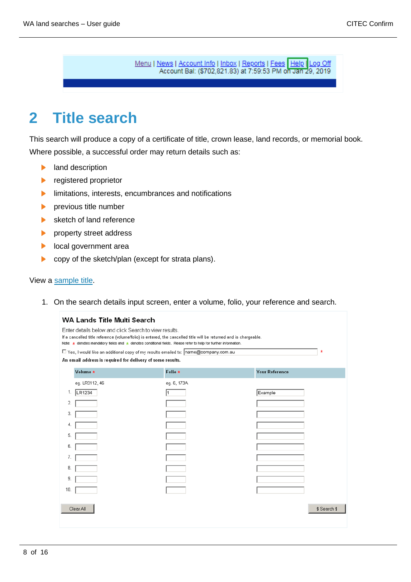Menu | News | Account Info | Inbox | Reports | Fees | Help | Log Off Account Bal: (\$702,821.83) at 7:59:53 PM on Jan 29, 2019

# <span id="page-7-0"></span>**2 Title search**

This search will produce a copy of a certificate of title, crown lease, land records, or memorial book. Where possible, a successful order may return details such as:

- $\blacktriangleright$ land description
- registered proprietor  $\blacktriangleright$
- $\blacktriangleright$ limitations, interests, encumbrances and notifications
- $\blacktriangleright$ previous title number
- $\blacktriangleright$ sketch of land reference
- property street address  $\blacktriangleright$
- local government area ь
- copy of the sketch/plan (except for strata plans).  $\blacktriangleright$

#### View a [sample title.](https://www.confirm.citec.com.au/citecConfirm/wa-title-search-result-sample.pdf)

1. On the search details input screen, enter a volume, folio, your reference and search.

| <b>WA Lands Title Multi Search</b>                                                                                                                                                                                                                                                                         |                                                                                           |             |                       |              |  |  |
|------------------------------------------------------------------------------------------------------------------------------------------------------------------------------------------------------------------------------------------------------------------------------------------------------------|-------------------------------------------------------------------------------------------|-------------|-----------------------|--------------|--|--|
| Enter details below and click Search to view results.<br>If a cancelled title reference (volume/folio) is entered, the cancelled title will be returned and is chargeable.<br>Note: $\star$ denotes mandatory fields and $\star$ denotes conditional fields. Please refer to help for further information. |                                                                                           |             |                       |              |  |  |
|                                                                                                                                                                                                                                                                                                            | ×<br>□ Yes, I would like an additional copy of my results emailed to: name@company.com.au |             |                       |              |  |  |
|                                                                                                                                                                                                                                                                                                            | An email address is required for delivery of some results.                                |             |                       |              |  |  |
|                                                                                                                                                                                                                                                                                                            | Volume *                                                                                  | Folio *     | <b>Your Reference</b> |              |  |  |
|                                                                                                                                                                                                                                                                                                            | eg. LR3112, 46                                                                            | eg. 6, 173A |                       |              |  |  |
| 1.                                                                                                                                                                                                                                                                                                         | LR1234                                                                                    |             | Example               |              |  |  |
| 2.                                                                                                                                                                                                                                                                                                         |                                                                                           |             |                       |              |  |  |
| З.                                                                                                                                                                                                                                                                                                         |                                                                                           |             |                       |              |  |  |
| 4.                                                                                                                                                                                                                                                                                                         |                                                                                           |             |                       |              |  |  |
| 5.                                                                                                                                                                                                                                                                                                         |                                                                                           |             |                       |              |  |  |
| 6.                                                                                                                                                                                                                                                                                                         |                                                                                           |             |                       |              |  |  |
| 7.                                                                                                                                                                                                                                                                                                         |                                                                                           |             |                       |              |  |  |
| 8.                                                                                                                                                                                                                                                                                                         |                                                                                           |             |                       |              |  |  |
| 9.                                                                                                                                                                                                                                                                                                         |                                                                                           |             |                       |              |  |  |
| 10.                                                                                                                                                                                                                                                                                                        |                                                                                           |             |                       |              |  |  |
|                                                                                                                                                                                                                                                                                                            |                                                                                           |             |                       |              |  |  |
|                                                                                                                                                                                                                                                                                                            | Clear All                                                                                 |             |                       | \$ Search \$ |  |  |
|                                                                                                                                                                                                                                                                                                            |                                                                                           |             |                       |              |  |  |
|                                                                                                                                                                                                                                                                                                            |                                                                                           |             |                       |              |  |  |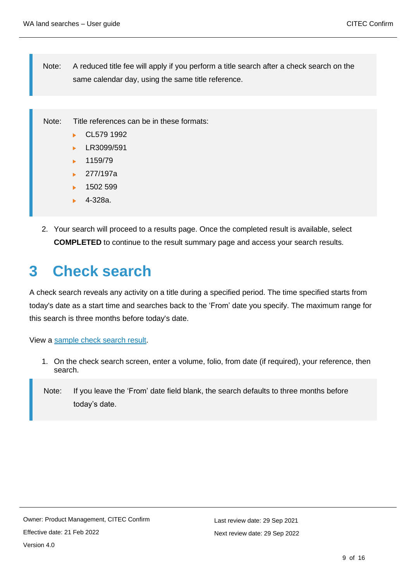Note: A reduced title fee will apply if you perform a title search after a check search on the same calendar day, using the same title reference.

Note: Title references can be in these formats:

- CL579 1992 k.
- LR3099/591 ь
- 1159/79
- $\blacktriangleright$  277/197a
- 1502 599
- 4-328a.
- 2. Your search will proceed to a results page. Once the completed result is available, select **COMPLETED** to continue to the result summary page and access your search results.

# <span id="page-8-0"></span>**3 Check search**

A check search reveals any activity on a title during a specified period. The time specified starts from today's date as a start time and searches back to the 'From' date you specify. The maximum range for this search is three months before today's date.

View a [sample check search result.](https://www.confirm.citec.com.au/citecConfirm/wa-check-search-result-sample.pdf)

- 1. On the check search screen, enter a volume, folio, from date (if required), your reference, then search.
- Note: If you leave the 'From' date field blank, the search defaults to three months before today's date.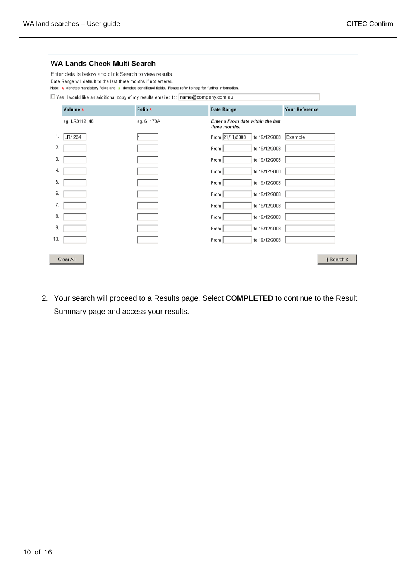| <b>WA Lands Check Multi Search</b> |                                                                                                                                                                                                                                                           |                                                    |  |  |  |
|------------------------------------|-----------------------------------------------------------------------------------------------------------------------------------------------------------------------------------------------------------------------------------------------------------|----------------------------------------------------|--|--|--|
|                                    | Enter details below and click Search to view results.<br>Date Range will default to the last three months if not entered.<br>Note: $\star$ denotes mandatory fields and $\star$ denotes conditional fields. Please refer to help for further information. |                                                    |  |  |  |
|                                    | □ Yes, I would like an additional copy of my results emailed to: name@company.com.au                                                                                                                                                                      |                                                    |  |  |  |
| Volume *                           | Folio *                                                                                                                                                                                                                                                   | <b>Date Range</b><br><b>Your Reference</b>         |  |  |  |
| eg. LR3112, 46                     | eg. 6, 173A                                                                                                                                                                                                                                               | Enter a From date within the last<br>three months. |  |  |  |
| LR1234<br>1.                       |                                                                                                                                                                                                                                                           | From 21/11/2008<br>to 19/12/2008<br>Example        |  |  |  |
| 2                                  |                                                                                                                                                                                                                                                           | to 19/12/2008<br>From                              |  |  |  |
| 3.                                 |                                                                                                                                                                                                                                                           | to 19/12/2008<br>From                              |  |  |  |
| 4.                                 |                                                                                                                                                                                                                                                           | to 19/12/2008<br>From                              |  |  |  |
| 5.                                 |                                                                                                                                                                                                                                                           | to 19/12/2008<br>From                              |  |  |  |
| 6.                                 |                                                                                                                                                                                                                                                           | to 19/12/2008<br>From                              |  |  |  |
| 7.                                 |                                                                                                                                                                                                                                                           | to 19/12/2008<br>From                              |  |  |  |
| 8.                                 |                                                                                                                                                                                                                                                           | to 19/12/2008<br>From                              |  |  |  |
| 9.                                 |                                                                                                                                                                                                                                                           | to 19/12/2008<br>From                              |  |  |  |
| 10.                                |                                                                                                                                                                                                                                                           | to 19/12/2008<br>From                              |  |  |  |
| Clear All                          |                                                                                                                                                                                                                                                           | \$ Search \$                                       |  |  |  |

2. Your search will proceed to a Results page. Select **COMPLETED** to continue to the Result Summary page and access your results.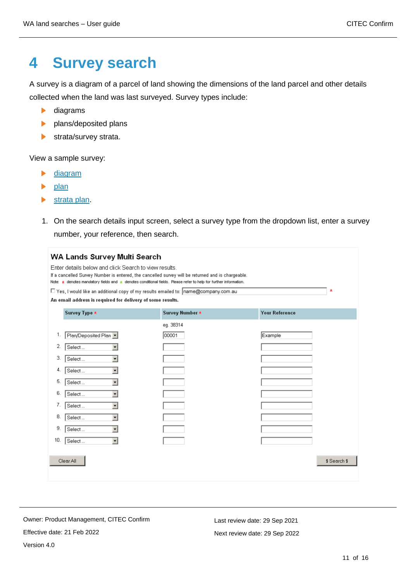# <span id="page-10-0"></span>**4 Survey search**

A survey is a diagram of a parcel of land showing the dimensions of the land parcel and other details collected when the land was last surveyed. Survey types include:

- diagrams  $\blacktriangleright$
- **b** plans/deposited plans
- $\blacktriangleright$ strata/survey strata.

View a sample survey:

- $\blacktriangleright$ [diagram](https://www.confirm.citec.com.au/citecConfirm/wa-survey-search-diagram-result-sample.pdf)
- [plan](https://www.confirm.citec.com.au/citecConfirm/wa-survey-search-plan-result-sample.pdf)  $\blacktriangleright$
- $\blacktriangleright$ [strata plan.](https://www.confirm.citec.com.au/citecConfirm/wa-survey-search-strata-plan-result-sample.pdf)
- 1. On the search details input screen, select a survey type from the dropdown list, enter a survey number, your reference, then search.

| WA Lands Survey Multi Search                                                                                                                                                                                                                                                               |                 |                       |  |  |  |  |  |
|--------------------------------------------------------------------------------------------------------------------------------------------------------------------------------------------------------------------------------------------------------------------------------------------|-----------------|-----------------------|--|--|--|--|--|
| Enter details below and click Search to view results.<br>If a cancelled Survey Number is entered, the cancelled survey will be returned and is chargeable.<br>Note: $\star$ denotes mandatory fields and $\star$ denotes conditional fields. Please refer to help for further information. |                 |                       |  |  |  |  |  |
| □ Yes, I would like an additional copy of my results emailed to: name@company.com.au<br>$\star$                                                                                                                                                                                            |                 |                       |  |  |  |  |  |
| An email address is required for delivery of some results.                                                                                                                                                                                                                                 |                 |                       |  |  |  |  |  |
| Survey Type *                                                                                                                                                                                                                                                                              | Survey Number * | <b>Your Reference</b> |  |  |  |  |  |
|                                                                                                                                                                                                                                                                                            | eg. 38314       |                       |  |  |  |  |  |
| Plan/Deposited Plan v<br>1.                                                                                                                                                                                                                                                                | 00001           | Example               |  |  |  |  |  |
| 2.<br>Select<br>۰                                                                                                                                                                                                                                                                          |                 |                       |  |  |  |  |  |
| 3.<br>$\overline{\phantom{a}}$<br>Select                                                                                                                                                                                                                                                   |                 |                       |  |  |  |  |  |
| $\overline{\phantom{0}}$<br>4.<br>Select                                                                                                                                                                                                                                                   |                 |                       |  |  |  |  |  |
| 5.<br>Select<br>$\overline{\phantom{a}}$                                                                                                                                                                                                                                                   |                 |                       |  |  |  |  |  |
| 6.<br>Select<br>$\overline{\phantom{a}}$                                                                                                                                                                                                                                                   |                 |                       |  |  |  |  |  |
| 7.<br>$\overline{\phantom{0}}$<br>Select                                                                                                                                                                                                                                                   |                 |                       |  |  |  |  |  |
| 8.<br>Select<br>۰                                                                                                                                                                                                                                                                          |                 |                       |  |  |  |  |  |
| 9.<br>$\overline{\phantom{a}}$<br>Select                                                                                                                                                                                                                                                   |                 |                       |  |  |  |  |  |
| 10.<br>$\overline{\phantom{0}}$<br>Select                                                                                                                                                                                                                                                  |                 |                       |  |  |  |  |  |
| \$Search \$                                                                                                                                                                                                                                                                                |                 |                       |  |  |  |  |  |
| Clear All                                                                                                                                                                                                                                                                                  |                 |                       |  |  |  |  |  |
|                                                                                                                                                                                                                                                                                            |                 |                       |  |  |  |  |  |

Owner: Product Management, CITEC Confirm Effective date: 21 Feb 2022 Version 4.0

Last review date: 29 Sep 2021 Next review date: 29 Sep 2022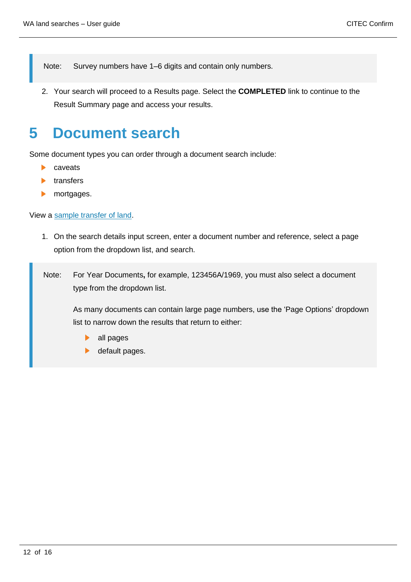Note: Survey numbers have 1–6 digits and contain only numbers.

2. Your search will proceed to a Results page. Select the **COMPLETED** link to continue to the Result Summary page and access your results.

# <span id="page-11-0"></span>**5 Document search**

Some document types you can order through a document search include:

- ь caveats
- b. transfers
- mortgages.  $\blacktriangleright$

View a [sample transfer of land.](https://www.confirm.citec.com.au/citecConfirm/wa-document-search-result-sample.pdf)

- 1. On the search details input screen, enter a document number and reference, select a page option from the dropdown list, and search.
- Note: For Year Documents**,** for example, 123456A/1969, you must also select a document type from the dropdown list.

As many documents can contain large page numbers, use the 'Page Options' dropdown list to narrow down the results that return to either:

- all pages
- default pages. $\blacktriangleright$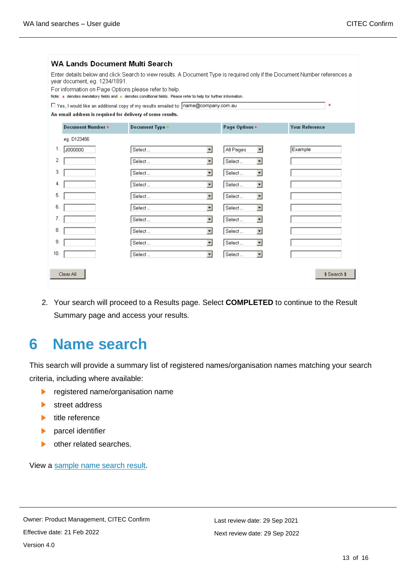| <b>WA Lands Document Multi Search</b><br>Enter details below and click Search to view results. A Document Type is required only if the Document Number references a<br>year document, eg. 1234/1891.<br>For information on Page Options please refer to help.<br>Note: $\star$ denotes mandatory fields and $\star$ denotes conditional fields. Please refer to help for further information.<br>□ Yes, I would like an additional copy of my results emailed to: name@company.com.au<br>$\star$<br>An email address is required for delivery of some results. |                   |                                    |  |                                       |                       |  |  |
|----------------------------------------------------------------------------------------------------------------------------------------------------------------------------------------------------------------------------------------------------------------------------------------------------------------------------------------------------------------------------------------------------------------------------------------------------------------------------------------------------------------------------------------------------------------|-------------------|------------------------------------|--|---------------------------------------|-----------------------|--|--|
|                                                                                                                                                                                                                                                                                                                                                                                                                                                                                                                                                                | Document Number * | Document Type *                    |  | Page Options *                        | <b>Your Reference</b> |  |  |
|                                                                                                                                                                                                                                                                                                                                                                                                                                                                                                                                                                | eg. D123456       |                                    |  |                                       |                       |  |  |
| 1.                                                                                                                                                                                                                                                                                                                                                                                                                                                                                                                                                             | J000000           | $\mathbf{r}$<br>Select             |  | All Pages<br>$\overline{\phantom{a}}$ | Example               |  |  |
| 2.                                                                                                                                                                                                                                                                                                                                                                                                                                                                                                                                                             |                   | $\mathbf{r}$<br>Select             |  | Select<br>$\overline{\phantom{a}}$    |                       |  |  |
| 3.                                                                                                                                                                                                                                                                                                                                                                                                                                                                                                                                                             |                   | ▾<br>Select                        |  | Select<br>$\overline{\phantom{a}}$    |                       |  |  |
| 4.                                                                                                                                                                                                                                                                                                                                                                                                                                                                                                                                                             |                   | $\vert$<br>Select                  |  | $\blacksquare$<br>Select              |                       |  |  |
| 5.                                                                                                                                                                                                                                                                                                                                                                                                                                                                                                                                                             |                   | $\vert$<br>Select                  |  | $\blacksquare$<br>Select              |                       |  |  |
| 6.                                                                                                                                                                                                                                                                                                                                                                                                                                                                                                                                                             |                   | $\mathbf{r}$<br>Select             |  | Select<br>$\blacksquare$              |                       |  |  |
| 7.                                                                                                                                                                                                                                                                                                                                                                                                                                                                                                                                                             |                   | $\overline{\phantom{a}}$<br>Select |  | Select                                |                       |  |  |
| 8.                                                                                                                                                                                                                                                                                                                                                                                                                                                                                                                                                             |                   | $\blacksquare$<br>Select           |  | $\overline{\phantom{a}}$<br>Select    |                       |  |  |
| 9.                                                                                                                                                                                                                                                                                                                                                                                                                                                                                                                                                             |                   | $\overline{\phantom{a}}$<br>Select |  | Select                                |                       |  |  |
| 10.                                                                                                                                                                                                                                                                                                                                                                                                                                                                                                                                                            |                   | $\overline{\phantom{a}}$<br>Select |  | Select<br>۰                           |                       |  |  |
|                                                                                                                                                                                                                                                                                                                                                                                                                                                                                                                                                                | Clear All         |                                    |  |                                       | \$ Search \$          |  |  |

2. Your search will proceed to a Results page. Select **COMPLETED** to continue to the Result Summary page and access your results.

## <span id="page-12-0"></span>**6 Name search**

This search will provide a summary list of registered names/organisation names matching your search criteria, including where available:

- registered name/organisation name  $\blacktriangleright$
- street address
- $\blacktriangleright$  title reference
- $\blacktriangleright$ parcel identifier
- $\blacktriangleright$ other related searches.

View a [sample name search result.](https://www.confirm.citec.com.au/citecConfirm/wa-name-search-result-sample.pdf)

Owner: Product Management, CITEC Confirm Effective date: 21 Feb 2022 Version 4.0

Last review date: 29 Sep 2021 Next review date: 29 Sep 2022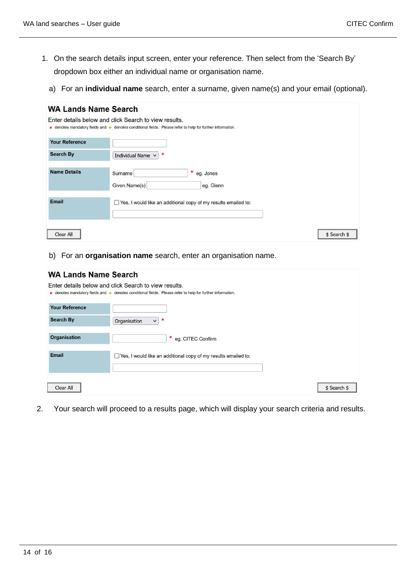- 1. On the search details input screen, enter your reference. Then select from the 'Search By' dropdown box either an individual name or organisation name.
	- a) For an **individual name** search, enter a surname, given name(s) and your email (optional).

| <b>WA Lands Name Search</b>                                                                                                                                         |                                                                     |  |  |  |  |  |
|---------------------------------------------------------------------------------------------------------------------------------------------------------------------|---------------------------------------------------------------------|--|--|--|--|--|
| Enter details below and click Search to view results.<br>★ denotes mandatory fields and ★ denotes conditional fields. Please refer to help for further information. |                                                                     |  |  |  |  |  |
|                                                                                                                                                                     |                                                                     |  |  |  |  |  |
| <b>Your Reference</b>                                                                                                                                               |                                                                     |  |  |  |  |  |
| <b>Search By</b>                                                                                                                                                    | *<br>Individual Name v                                              |  |  |  |  |  |
|                                                                                                                                                                     |                                                                     |  |  |  |  |  |
| <b>Name Details</b>                                                                                                                                                 | *<br>Surname<br>eg. Jones                                           |  |  |  |  |  |
|                                                                                                                                                                     | Given Name(s)<br>eg. Glenn                                          |  |  |  |  |  |
| <b>Email</b>                                                                                                                                                        |                                                                     |  |  |  |  |  |
|                                                                                                                                                                     | Yes, I would like an additional copy of my results emailed to:<br>ப |  |  |  |  |  |
|                                                                                                                                                                     |                                                                     |  |  |  |  |  |
|                                                                                                                                                                     |                                                                     |  |  |  |  |  |
| \$ Search \$<br>Clear All                                                                                                                                           |                                                                     |  |  |  |  |  |

b) For an **organisation name** search, enter an organisation name.

| <b>WA Lands Name Search</b>                                                                                |                                                                       |  |  |  |  |  |
|------------------------------------------------------------------------------------------------------------|-----------------------------------------------------------------------|--|--|--|--|--|
| Enter details below and click Search to view results.                                                      |                                                                       |  |  |  |  |  |
| ★ denotes mandatory fields and ★ denotes conditional fields. Please refer to help for further information. |                                                                       |  |  |  |  |  |
| <b>Your Reference</b>                                                                                      |                                                                       |  |  |  |  |  |
| <b>Search By</b>                                                                                           | $\ast$<br>Organisation<br>$\vee$                                      |  |  |  |  |  |
| <b>Organisation</b>                                                                                        |                                                                       |  |  |  |  |  |
|                                                                                                            | * eg. CITEC Confirm                                                   |  |  |  |  |  |
| Email                                                                                                      | $\Box$ Yes, I would like an additional copy of my results emailed to: |  |  |  |  |  |
|                                                                                                            |                                                                       |  |  |  |  |  |
|                                                                                                            |                                                                       |  |  |  |  |  |
| <b>Clear All</b>                                                                                           | \$ Search \$                                                          |  |  |  |  |  |

2. Your search will proceed to a results page, which will display your search criteria and results.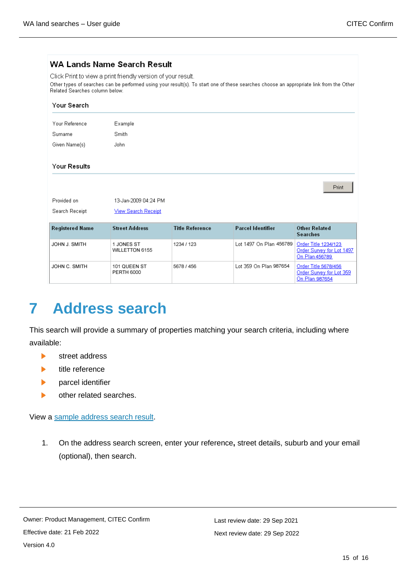### **WA Lands Name Search Result**

Click Print to view a print friendly version of your result. Other types of searches can be performed using your result(s). To start one of these searches choose an appropriate link from the Other Related Searches column below.

| Your Search            |                                   |                        |                          |                                                                     |
|------------------------|-----------------------------------|------------------------|--------------------------|---------------------------------------------------------------------|
| Your Reference         | Example                           |                        |                          |                                                                     |
| Surname                | <b>Smith</b>                      |                        |                          |                                                                     |
| Given Name(s)          | John.                             |                        |                          |                                                                     |
| <b>Your Results</b>    |                                   |                        |                          |                                                                     |
|                        |                                   |                        |                          | Print                                                               |
| Provided on            | 13-Jan-2009 04:24 PM              |                        |                          |                                                                     |
| Search Receipt         | <b>View Search Receipt</b>        |                        |                          |                                                                     |
| <b>Registered Name</b> | <b>Street Address</b>             | <b>Title Reference</b> | <b>Parcel Identifier</b> | <b>Other Related</b><br><b>Searches</b>                             |
| JOHN J. SMITH          | 1 JONES ST<br>WILLETTON 6155      | 1234 / 123             | Lot 1497 On Plan 456789  | Order Title 1234/123<br>Order Survey for Lot 1497<br>On Plan 456789 |
| JOHN C. SMITH          | 101 QUEEN ST<br><b>PERTH 6000</b> | 5678 / 456             | Lot 359 On Plan 987654   | Order Title 5678/456<br>Order Survey for Lot 359<br>On Plan 987654  |

# <span id="page-14-0"></span>**7 Address search**

This search will provide a summary of properties matching your search criteria, including where available:

- ь street address
- ь title reference
- parcel identifier  $\blacktriangleright$
- $\blacktriangleright$ other related searches.

View a [sample address search result.](https://www.confirm.citec.com.au/citecConfirm/wa-address-search-result-sample.pdf)

1. On the address search screen, enter your reference**,** street details, suburb and your email (optional), then search.